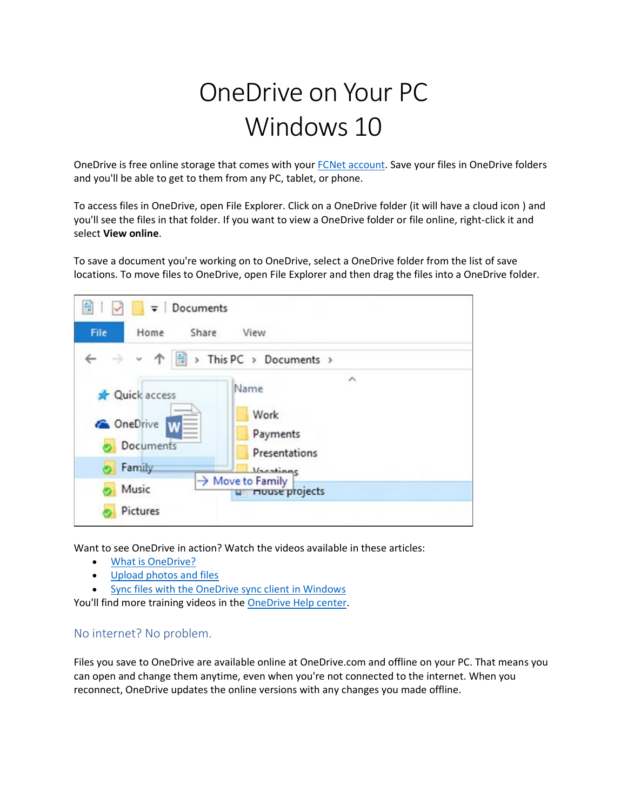## OneDrive on Your PC Windows 10

OneDrive is free online storage that comes with your [FCNet account.](https://o365.fullcoll.edu/) Save your files in OneDrive folders and you'll be able to get to them from any PC, tablet, or phone.

To access files in OneDrive, open File Explorer. Click on a OneDrive folder (it will have a cloud icon ) and you'll see the files in that folder. If you want to view a OneDrive folder or file online, right-click it and select **View online**.

To save a document you're working on to OneDrive, select a OneDrive folder from the list of save locations. To move files to OneDrive, open File Explorer and then drag the files into a OneDrive folder.



Want to see OneDrive in action? Watch the videos available in these articles:

- **[What is OneDrive?](https://support.office.com/article/video-what-is-onedrive-ffd8c365-e199-41e0-9d93-1a853e4baa38)**
- [Upload photos and files](https://support.office.com/article/Upload-photos-and-files-to-OneDrive-b00ad3fe-6643-4b16-9212-de00ef02b586)
- [Sync files with the OneDrive sync client in Windows](https://support.office.com/article/sync-files-with-the-onedrive-sync-client-in-windows-615391c4-2bd3-4aae-a42a-858262e42a49)

You'll find more training videos in the [OneDrive Help center.](https://support.office.com/onedrive)

## No internet? No problem.

Files you save to OneDrive are available online at OneDrive.com and offline on your PC. That means you can open and change them anytime, even when you're not connected to the internet. When you reconnect, OneDrive updates the online versions with any changes you made offline.